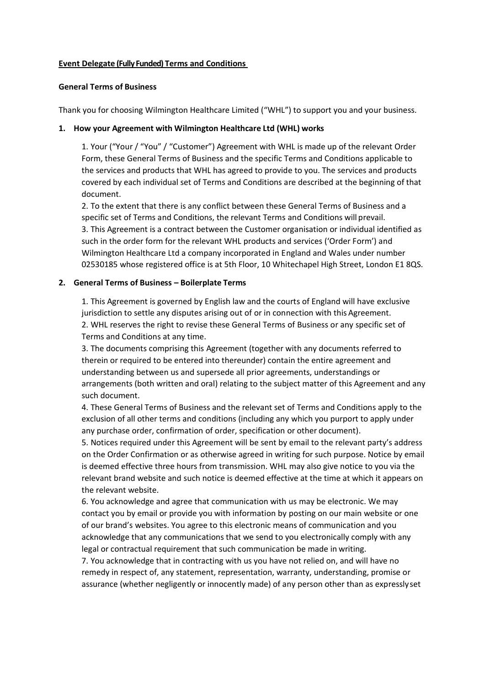### **Event Delegate (Fully Funded) Terms and Conditions**

#### **General Terms of Business**

Thank you for choosing Wilmington Healthcare Limited ("WHL") to support you and your business.

#### **1. How your Agreement with Wilmington Healthcare Ltd (WHL) works**

1. Your ("Your / "You" / "Customer") Agreement with WHL is made up of the relevant Order Form, these General Terms of Business and the specific Terms and Conditions applicable to the services and products that WHL has agreed to provide to you. The services and products covered by each individual set of Terms and Conditions are described at the beginning of that document.

2. To the extent that there is any conflict between these General Terms of Business and a specific set of Terms and Conditions, the relevant Terms and Conditions will prevail. 3. This Agreement is a contract between the Customer organisation or individual identified as such in the order form for the relevant WHL products and services ('Order Form') and Wilmington Healthcare Ltd a company incorporated in England and Wales under number 02530185 whose registered office is at 5th Floor, 10 Whitechapel High Street, London E1 8QS.

### **2. General Terms of Business – Boilerplate Terms**

1. This Agreement is governed by English law and the courts of England will have exclusive jurisdiction to settle any disputes arising out of or in connection with this Agreement. 2. WHL reserves the right to revise these General Terms of Business or any specific set of Terms and Conditions at any time.

3. The documents comprising this Agreement (together with any documents referred to therein or required to be entered into thereunder) contain the entire agreement and understanding between us and supersede all prior agreements, understandings or arrangements (both written and oral) relating to the subject matter of this Agreement and any such document.

4. These General Terms of Business and the relevant set of Terms and Conditions apply to the exclusion of all other terms and conditions (including any which you purport to apply under any purchase order, confirmation of order, specification or other document).

5. Notices required under this Agreement will be sent by email to the relevant party's address on the Order Confirmation or as otherwise agreed in writing for such purpose. Notice by email is deemed effective three hours from transmission. WHL may also give notice to you via the relevant brand website and such notice is deemed effective at the time at which it appears on the relevant website.

6. You acknowledge and agree that communication with us may be electronic. We may contact you by email or provide you with information by posting on our main website or one of our brand's websites. You agree to this electronic means of communication and you acknowledge that any communications that we send to you electronically comply with any legal or contractual requirement that such communication be made in writing.

7. You acknowledge that in contracting with us you have not relied on, and will have no remedy in respect of, any statement, representation, warranty, understanding, promise or assurance (whether negligently or innocently made) of any person other than as expresslyset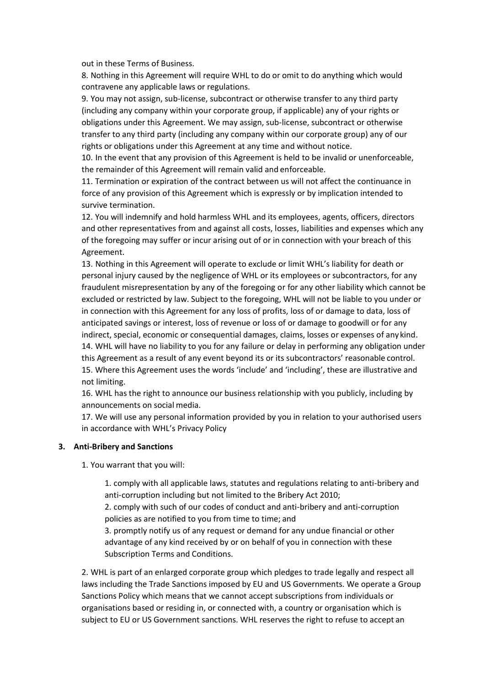out in these Terms of Business.

8. Nothing in this Agreement will require WHL to do or omit to do anything which would contravene any applicable laws or regulations.

9. You may not assign, sub-license, subcontract or otherwise transfer to any third party (including any company within your corporate group, if applicable) any of your rights or obligations under this Agreement. We may assign, sub-license, subcontract or otherwise transfer to any third party (including any company within our corporate group) any of our rights or obligations under this Agreement at any time and without notice.

10. In the event that any provision of this Agreement is held to be invalid or unenforceable, the remainder of this Agreement will remain valid and enforceable.

11. Termination or expiration of the contract between us will not affect the continuance in force of any provision of this Agreement which is expressly or by implication intended to survive termination.

12. You will indemnify and hold harmless WHL and its employees, agents, officers, directors and other representatives from and against all costs, losses, liabilities and expenses which any of the foregoing may suffer or incur arising out of or in connection with your breach of this Agreement.

13. Nothing in this Agreement will operate to exclude or limit WHL's liability for death or personal injury caused by the negligence of WHL or its employees or subcontractors, for any fraudulent misrepresentation by any of the foregoing or for any other liability which cannot be excluded or restricted by law. Subject to the foregoing, WHL will not be liable to you under or in connection with this Agreement for any loss of profits, loss of or damage to data, loss of anticipated savings or interest, loss of revenue or loss of or damage to goodwill or for any indirect, special, economic or consequential damages, claims, losses or expenses of any kind. 14. WHL will have no liability to you for any failure or delay in performing any obligation under this Agreement as a result of any event beyond its or its subcontractors' reasonable control. 15. Where this Agreement uses the words 'include' and 'including', these are illustrative and not limiting.

16. WHL has the right to announce our business relationship with you publicly, including by announcements on social media.

17. We will use any personal information provided by you in relation to your authorised users in accordance with WHL's Privacy Policy

### **3. Anti-Bribery and Sanctions**

1. You warrant that you will:

1. comply with all applicable laws, statutes and regulations relating to anti-bribery and anti-corruption including but not limited to the Bribery Act 2010;

2. comply with such of our codes of conduct and anti-bribery and anti-corruption policies as are notified to you from time to time; and

3. promptly notify us of any request or demand for any undue financial or other advantage of any kind received by or on behalf of you in connection with these Subscription Terms and Conditions.

2. WHL is part of an enlarged corporate group which pledges to trade legally and respect all laws including the Trade Sanctions imposed by EU and US Governments. We operate a Group Sanctions Policy which means that we cannot accept subscriptions from individuals or organisations based or residing in, or connected with, a country or organisation which is subject to EU or US Government sanctions. WHL reserves the right to refuse to accept an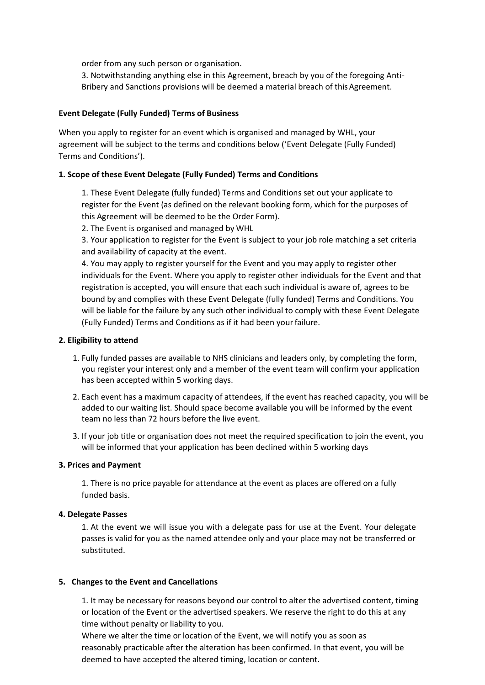order from any such person or organisation.

3. Notwithstanding anything else in this Agreement, breach by you of the foregoing Anti-Bribery and Sanctions provisions will be deemed a material breach of this Agreement.

## **Event Delegate (Fully Funded) Terms of Business**

When you apply to register for an event which is organised and managed by WHL, your agreement will be subject to the terms and conditions below ('Event Delegate (Fully Funded) Terms and Conditions').

## **1. Scope of these Event Delegate (Fully Funded) Terms and Conditions**

1. These Event Delegate (fully funded) Terms and Conditions set out your applicate to register for the Event (as defined on the relevant booking form, which for the purposes of this Agreement will be deemed to be the Order Form).

2. The Event is organised and managed by WHL

3. Your application to register for the Event is subject to your job role matching a set criteria and availability of capacity at the event.

4. You may apply to register yourself for the Event and you may apply to register other individuals for the Event. Where you apply to register other individuals for the Event and that registration is accepted, you will ensure that each such individual is aware of, agrees to be bound by and complies with these Event Delegate (fully funded) Terms and Conditions. You will be liable for the failure by any such other individual to comply with these Event Delegate (Fully Funded) Terms and Conditions as if it had been yourfailure.

### **2. Eligibility to attend**

- 1. Fully funded passes are available to NHS clinicians and leaders only, by completing the form, you register your interest only and a member of the event team will confirm your application has been accepted within 5 working days.
- 2. Each event has a maximum capacity of attendees, if the event has reached capacity, you will be added to our waiting list. Should space become available you will be informed by the event team no less than 72 hours before the live event.
- 3. If your job title or organisation does not meet the required specification to join the event, you will be informed that your application has been declined within 5 working days

### **3. Prices and Payment**

1. There is no price payable for attendance at the event as places are offered on a fully funded basis.

### **4. Delegate Passes**

1. At the event we will issue you with a delegate pass for use at the Event. Your delegate passes is valid for you as the named attendee only and your place may not be transferred or substituted.

### **5. Changes to the Event and Cancellations**

1. It may be necessary for reasons beyond our control to alter the advertised content, timing or location of the Event or the advertised speakers. We reserve the right to do this at any time without penalty or liability to you.

Where we alter the time or location of the Event, we will notify you as soon as reasonably practicable after the alteration has been confirmed. In that event, you will be deemed to have accepted the altered timing, location or content.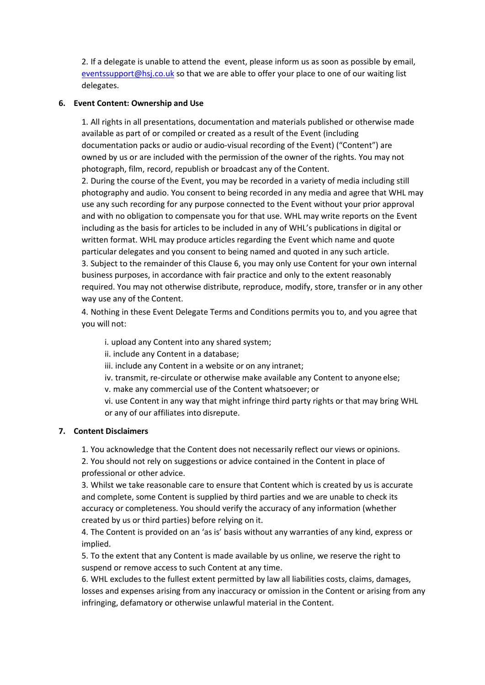2. If a delegate is unable to attend the event, please inform us as soon as possible by email, [eventssupport@hsj.co.uk](mailto:eventssupport@hsj.co.uk) so that we are able to offer your place to one of our waiting list delegates.

## **6. Event Content: Ownership and Use**

1. All rights in all presentations, documentation and materials published or otherwise made available as part of or compiled or created as a result of the Event (including documentation packs or audio or audio-visual recording of the Event) ("Content") are owned by us or are included with the permission of the owner of the rights. You may not photograph, film, record, republish or broadcast any of the Content.

2. During the course of the Event, you may be recorded in a variety of media including still photography and audio. You consent to being recorded in any media and agree that WHL may use any such recording for any purpose connected to the Event without your prior approval and with no obligation to compensate you for that use. WHL may write reports on the Event including as the basis for articles to be included in any of WHL's publications in digital or written format. WHL may produce articles regarding the Event which name and quote particular delegates and you consent to being named and quoted in any such article. 3. Subject to the remainder of this Clause 6, you may only use Content for your own internal business purposes, in accordance with fair practice and only to the extent reasonably required. You may not otherwise distribute, reproduce, modify, store, transfer or in any other way use any of the Content.

4. Nothing in these Event Delegate Terms and Conditions permits you to, and you agree that you will not:

i. upload any Content into any shared system;

ii. include any Content in a database;

iii. include any Content in a website or on any intranet;

iv. transmit, re-circulate or otherwise make available any Content to anyone else;

v. make any commercial use of the Content whatsoever; or

vi. use Content in any way that might infringe third party rights or that may bring WHL or any of our affiliates into disrepute.

### **7. Content Disclaimers**

1. You acknowledge that the Content does not necessarily reflect our views or opinions.

2. You should not rely on suggestions or advice contained in the Content in place of professional or other advice.

3. Whilst we take reasonable care to ensure that Content which is created by us is accurate and complete, some Content is supplied by third parties and we are unable to check its accuracy or completeness. You should verify the accuracy of any information (whether created by us or third parties) before relying on it.

4. The Content is provided on an 'as is' basis without any warranties of any kind, express or implied.

5. To the extent that any Content is made available by us online, we reserve the right to suspend or remove access to such Content at any time.

6. WHL excludes to the fullest extent permitted by law all liabilities costs, claims, damages, losses and expenses arising from any inaccuracy or omission in the Content or arising from any infringing, defamatory or otherwise unlawful material in the Content.